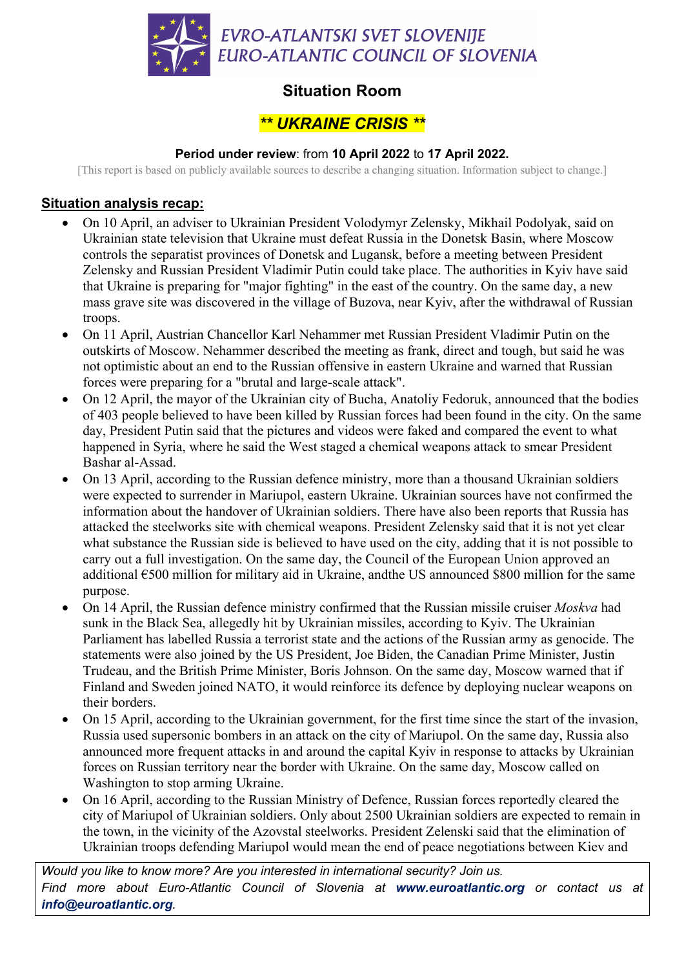

## **Situation Room**

# *\*\* UKRAINE CRISIS \*\**

### **Period under review**: from **10 April 2022** to **17 April 2022.**

[This report is based on publicly available sources to describe a changing situation. Information subject to change.]

### **Situation analysis recap:**

- On 10 April, an adviser to Ukrainian President Volodymyr Zelensky, Mikhail Podolyak, said on Ukrainian state television that Ukraine must defeat Russia in the Donetsk Basin, where Moscow controls the separatist provinces of Donetsk and Lugansk, before a meeting between President Zelensky and Russian President Vladimir Putin could take place. The authorities in Kyiv have said that Ukraine is preparing for "major fighting" in the east of the country. On the same day, a new mass grave site was discovered in the village of Buzova, near Kyiv, after the withdrawal of Russian troops.
- On 11 April, Austrian Chancellor Karl Nehammer met Russian President Vladimir Putin on the outskirts of Moscow. Nehammer described the meeting as frank, direct and tough, but said he was not optimistic about an end to the Russian offensive in eastern Ukraine and warned that Russian forces were preparing for a "brutal and large-scale attack".
- On 12 April, the mayor of the Ukrainian city of Bucha, Anatoliy Fedoruk, announced that the bodies of 403 people believed to have been killed by Russian forces had been found in the city. On the same day, President Putin said that the pictures and videos were faked and compared the event to what happened in Syria, where he said the West staged a chemical weapons attack to smear President Bashar al-Assad.
- On 13 April, according to the Russian defence ministry, more than a thousand Ukrainian soldiers were expected to surrender in Mariupol, eastern Ukraine. Ukrainian sources have not confirmed the information about the handover of Ukrainian soldiers. There have also been reports that Russia has attacked the steelworks site with chemical weapons. President Zelensky said that it is not yet clear what substance the Russian side is believed to have used on the city, adding that it is not possible to carry out a full investigation. On the same day, the Council of the European Union approved an additional  $\epsilon$ 500 million for military aid in Ukraine, and the US announced \$800 million for the same purpose.
- On 14 April, the Russian defence ministry confirmed that the Russian missile cruiser *Moskva* had sunk in the Black Sea, allegedly hit by Ukrainian missiles, according to Kyiv. The Ukrainian Parliament has labelled Russia a terrorist state and the actions of the Russian army as genocide. The statements were also joined by the US President, Joe Biden, the Canadian Prime Minister, Justin Trudeau, and the British Prime Minister, Boris Johnson. On the same day, Moscow warned that if Finland and Sweden joined NATO, it would reinforce its defence by deploying nuclear weapons on their borders.
- On 15 April, according to the Ukrainian government, for the first time since the start of the invasion, Russia used supersonic bombers in an attack on the city of Mariupol. On the same day, Russia also announced more frequent attacks in and around the capital Kyiv in response to attacks by Ukrainian forces on Russian territory near the border with Ukraine. On the same day, Moscow called on Washington to stop arming Ukraine.
- On 16 April, according to the Russian Ministry of Defence, Russian forces reportedly cleared the city of Mariupol of Ukrainian soldiers. Only about 2500 Ukrainian soldiers are expected to remain in the town, in the vicinity of the Azovstal steelworks. President Zelenski said that the elimination of Ukrainian troops defending Mariupol would mean the end of peace negotiations between Kiev and

*Would you like to know more? Are you interested in international security? Join us. Find more about Euro-Atlantic Council of Slovenia at www.euroatlantic.org or contact us at info@euroatlantic.org.*